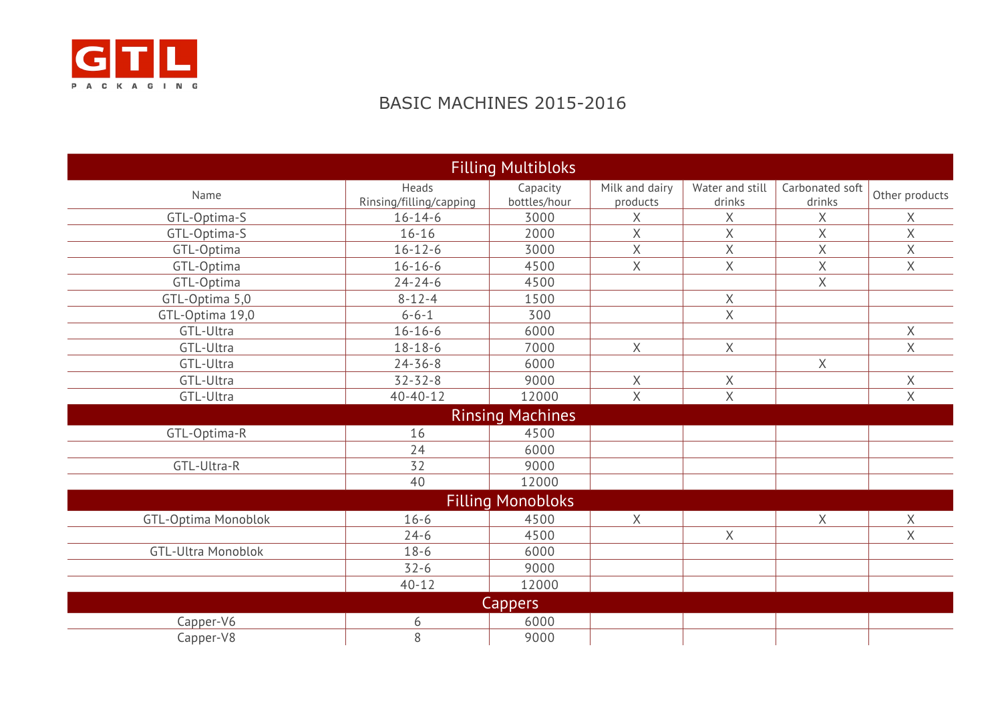

## BASIC MACHINES 2015-2016

|                            |                         | <b>Filling Multibloks</b> |                         |                 |                 |                |
|----------------------------|-------------------------|---------------------------|-------------------------|-----------------|-----------------|----------------|
| Name                       | Heads                   | Capacity                  | Milk and dairy          | Water and still | Carbonated soft | Other products |
|                            | Rinsing/filling/capping | bottles/hour              | products                | drinks          | drinks          |                |
| GTL-Optima-S               | $16 - 14 - 6$           | 3000                      | Χ                       | $\mathsf X$     | Χ               | Χ              |
| GTL-Optima-S               | $16 - 16$               | 2000                      | Χ                       | $\mathsf X$     | $\mathsf X$     | X              |
| GTL-Optima                 | $16 - 12 - 6$           | 3000                      | $\overline{X}$          | X               | $\sf X$         | X              |
| GTL-Optima                 | $16 - 16 - 6$           | 4500                      | X                       | X               | $\sf X$         | X              |
| GTL-Optima                 | $24 - 24 - 6$           | 4500                      |                         |                 | $\mathsf X$     |                |
| GTL-Optima 5,0             | $8 - 12 - 4$            | 1500                      |                         | X               |                 |                |
| GTL-Optima 19,0            | $6 - 6 - 1$             | 300                       |                         | X               |                 |                |
| GTL-Ultra                  | $16 - 16 - 6$           | 6000                      |                         |                 |                 | $\chi$         |
| GTL-Ultra                  | $18 - 18 - 6$           | 7000                      | X                       | $\times$        |                 | X              |
| GTL-Ultra                  | $24 - 36 - 8$           | 6000                      |                         |                 | Χ               |                |
| GTL-Ultra                  | $32 - 32 - 8$           | 9000                      | X                       | X               |                 | X              |
| GTL-Ultra                  | $40 - 40 - 12$          | 12000                     | $\overline{\mathsf{X}}$ | X               |                 | $\mathsf{X}$   |
|                            |                         | <b>Rinsing Machines</b>   |                         |                 |                 |                |
| GTL-Optima-R               | 16                      | 4500                      |                         |                 |                 |                |
|                            | 24                      | 6000                      |                         |                 |                 |                |
| GTL-Ultra-R                | 32                      | 9000                      |                         |                 |                 |                |
|                            | 40                      | 12000                     |                         |                 |                 |                |
|                            |                         | <b>Filling Monobloks</b>  |                         |                 |                 |                |
| <b>GTL-Optima Monoblok</b> | $16 - 6$                | 4500                      | X                       |                 | $\times$        | Χ              |
|                            | $24-6$                  | 4500                      |                         | X               |                 | X              |
| <b>GTL-Ultra Monoblok</b>  | $18-6$                  | 6000                      |                         |                 |                 |                |
|                            | $32 - 6$                | 9000                      |                         |                 |                 |                |
|                            | $40 - 12$               | 12000                     |                         |                 |                 |                |
|                            |                         | Cappers                   |                         |                 |                 |                |
| Capper-V6                  | 6                       | 6000                      |                         |                 |                 |                |
| Capper-V8                  | 8                       | 9000                      |                         |                 |                 |                |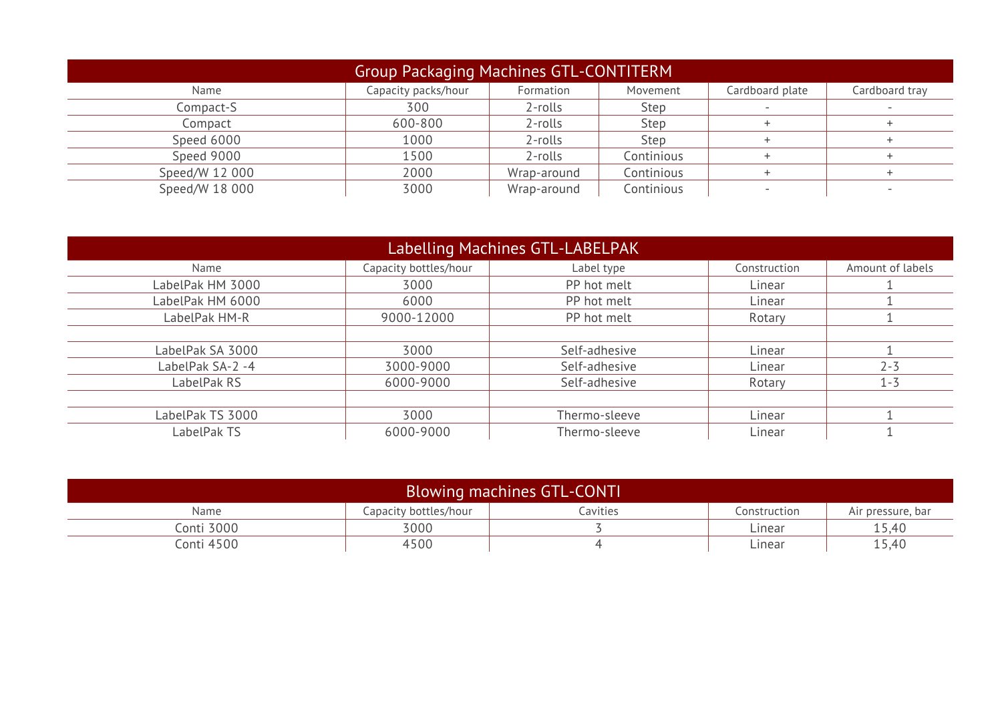| Group Packaging Machines GTL-CONTITERM |                     |             |            |                 |                |
|----------------------------------------|---------------------|-------------|------------|-----------------|----------------|
| Name                                   | Capacity packs/hour | Formation   | Movement   | Cardboard plate | Cardboard tray |
| Compact-S                              | 300                 | 2-rolls     | Step       |                 |                |
| Compact                                | 600-800             | 2-rolls     | Step       |                 |                |
| Speed 6000                             | 1000                | 2-rolls     | Step       |                 |                |
| Speed 9000                             | 1500                | 2-rolls     | Continious |                 |                |
| Speed/W 12 000                         | 2000                | Wrap-around | Continious |                 |                |
| Speed/W 18 000                         | 3000                | Wrap-around | Continious |                 |                |

| Labelling Machines GTL-LABELPAK |                       |               |              |                  |
|---------------------------------|-----------------------|---------------|--------------|------------------|
| Name                            | Capacity bottles/hour | Label type    | Construction | Amount of labels |
| LabelPak HM 3000                | 3000                  | PP hot melt   | Linear       |                  |
| LabelPak HM 6000                | 6000                  | PP hot melt   | Linear       |                  |
| LabelPak HM-R                   | 9000-12000            | PP hot melt   | Rotary       |                  |
|                                 |                       |               |              |                  |
| LabelPak SA 3000                | 3000                  | Self-adhesive | Linear       |                  |
| LabelPak SA-2 -4                | 3000-9000             | Self-adhesive | Linear       | $2 - 3$          |
| LabelPak RS                     | 6000-9000             | Self-adhesive | Rotary       | $1 - 3$          |
|                                 |                       |               |              |                  |
| LabelPak TS 3000                | 3000                  | Thermo-sleeve | Linear       |                  |
| LabelPak TS                     | 6000-9000             | Thermo-sleeve | Linear       |                  |

| <b>Blowing machines GTL-CONTI</b> |                       |          |              |                   |
|-----------------------------------|-----------------------|----------|--------------|-------------------|
| Name                              | Capacity bottles/hour | Cavities | Construction | Air pressure, bar |
| Conti 3000                        | 3000                  |          | Linear       | 15,40             |
| Conti 4500                        | 4500                  |          | Linear       | 15,40             |